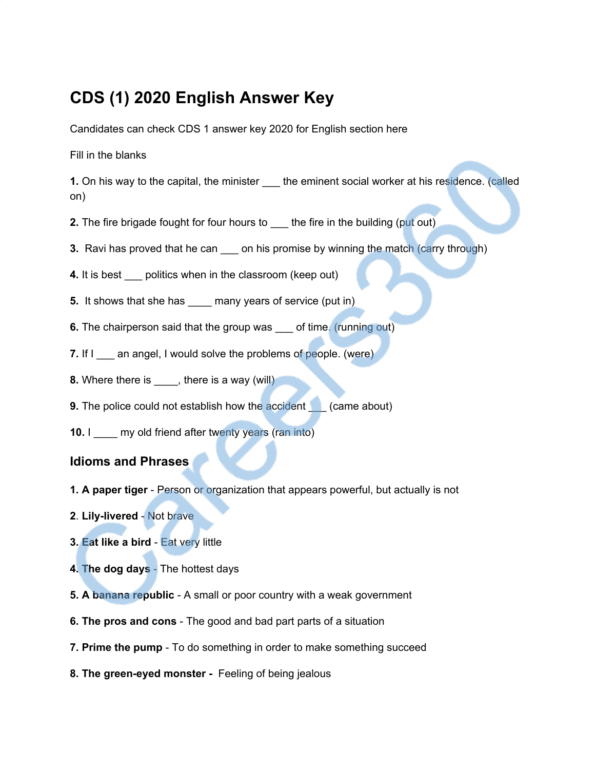# **CDS (1) 2020 English Answer Key**

Candidates can check CDS 1 answer key 2020 for English section here

Fill in the blanks

**1.** On his way to the capital, the minister the eminent social worker at his residence. (called on)

- **2.** The fire brigade fought for four hours to \_\_\_ the fire in the building (put out)
- **3.** Ravi has proved that he can \_\_\_\_ on his promise by winning the match (carry through)
- **4.** It is best politics when in the classroom (keep out)
- **5.** It shows that she has \_\_\_\_\_ many years of service (put in)
- **6.** The chairperson said that the group was of time. (running out)
- **7.** If I an angel, I would solve the problems of people. (were)
- **8.** Where there is \_\_\_\_, there is a way (will)
- **9.** The police could not establish how the accident (came about)
- **10.** I \_\_\_\_\_ my old friend after twenty years (ran into)

### **Idioms and Phrases**

- **1. A paper tiger** Person or organization that appears powerful, but actually is not
- **2**. **Lily-livered** Not brave
- **3. Eat like a bird** Eat very little
- **4. The dog days** The hottest days
- **5. A banana republic** A small or poor country with a weak government
- **6. The pros and cons** The good and bad part parts of a situation
- **7. Prime the pump** To do something in order to make something succeed
- **8. The green-eyed monster -** Feeling of being jealous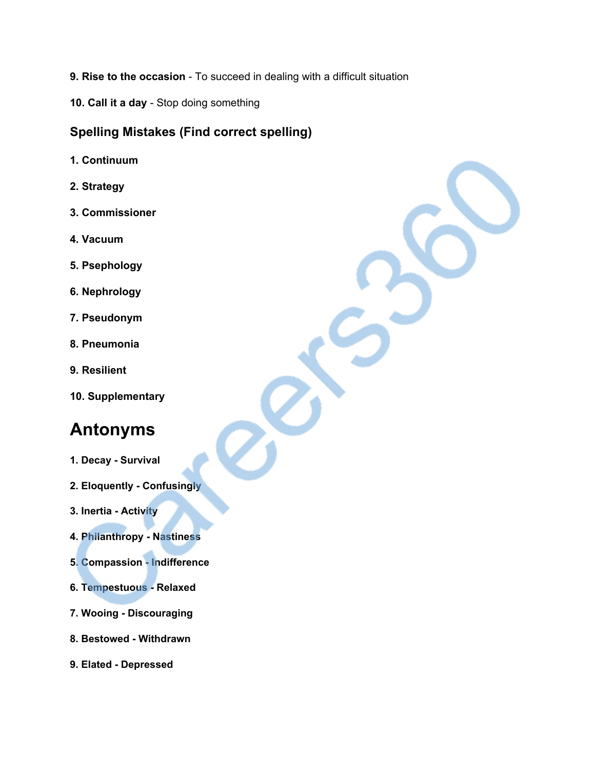- **9. Rise to the occasion** To succeed in dealing with a difficult situation
- **10. Call it a day** Stop doing something

### **Spelling Mistakes (Find correct spelling)**

- **1. Continuum**
- **2. Strategy**
- **3. Commissioner**
- **4. Vacuum**
- **5. Psephology**
- **6. Nephrology**
- **7. Pseudonym**
- **8. Pneumonia**
- **9. Resilient**
- **10. Supplementary**

# **Antonyms**

- **1. Decay Survival**
- **2. Eloquently Confusingly**
- **3. Inertia Activity**
- **4. Philanthropy Nastiness**
- **5. Compassion Indifference**
- **6. Tempestuous Relaxed**
- **7. Wooing Discouraging**
- **8. Bestowed Withdrawn**
- **9. Elated Depressed**